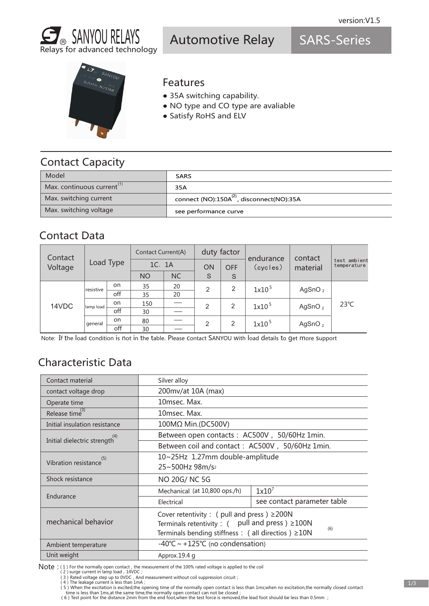

Automotive Relay

SARS-Series



#### Features

- 35A switching capability.
- NO type and CO type are avaliable
- Satisfy RoHS and ELV

## Contact Capacity

| Model                     | <b>SARS</b>                                           |
|---------------------------|-------------------------------------------------------|
| Max. continuous current " | 35A                                                   |
| Max. switching current    | connect (NO):150A <sup>(2)</sup> , disconnect(NO):35A |
| Max. switching voltage    | see performance curve                                 |

### Contact Data

| Contact | Load Type |     | <b>Contact Current(A)</b> |           | duty factor |            | endurance         | contact    |                             |
|---------|-----------|-----|---------------------------|-----------|-------------|------------|-------------------|------------|-----------------------------|
| Voltage |           |     | 1C. 1A                    |           | ON          | <b>OFF</b> | (cycles)          | material   | test ambient<br>temperature |
|         |           |     | <b>NO</b>                 | <b>NC</b> | S           | S          |                   |            |                             |
|         | resistive | on. | 35                        | 20        | 2           | 2          | 1x10 <sup>5</sup> | AgSnO $_2$ | $23^{\circ}C$               |
|         |           | off | 35                        | 20        |             |            |                   |            |                             |
| 14VDC   | lamp load | on. | 150                       |           | 2           | 2          | 1x10 <sup>5</sup> | AgSnO $_2$ |                             |
|         |           | off | 30                        |           |             |            |                   |            |                             |
|         | general   | on  | 80                        |           | 2           | 2          | 1x10 <sup>5</sup> | AgSnO $_2$ |                             |
|         |           | off | 30                        |           |             |            |                   |            |                             |

Note: If the load condition is not in the table. Please contact SANYOU with load details to get more support

# Characteristic Data

| Contact material                           | Silver alloy                                                |                             |  |  |  |
|--------------------------------------------|-------------------------------------------------------------|-----------------------------|--|--|--|
| contact voltage drop                       | 200mv/at 10A (max)                                          |                             |  |  |  |
| Operate time                               | 10msec. Max.                                                |                             |  |  |  |
| Release time <sup>(3)</sup>                | 10msec. Max.                                                |                             |  |  |  |
| Initial insulation resistance              | 100MΩ Min.(DC500V)                                          |                             |  |  |  |
| Initial dielectric strength <sup>(4)</sup> | Between open contacts : AC500V, 50/60Hz 1min.               |                             |  |  |  |
|                                            | Between coil and contact: AC500V, 50/60Hz 1min.             |                             |  |  |  |
| Vibration resistance                       | 10~25Hz 1.27mm double-amplitude                             |                             |  |  |  |
|                                            | 25~500Hz 98m/s <sup>2</sup>                                 |                             |  |  |  |
| Shock resistance                           | NO 20G/NC 5G                                                |                             |  |  |  |
|                                            | Mechanical (at 10,800 ops./h)                               | $1x10^7$                    |  |  |  |
| Endurance                                  | Electrical                                                  | see contact parameter table |  |  |  |
|                                            | Cover retentivity : ( pull and press ) $\geq$ 200N          |                             |  |  |  |
| mechanical behavior                        | Terminals retentivity : $($ pull and press $) \geq 100N$    |                             |  |  |  |
|                                            | (6)<br>Terminals bending stiffness : ( all directios ) ≥10N |                             |  |  |  |
| Ambient temperature                        | $-40^{\circ}$ C ~ +125°C (no condensation)                  |                             |  |  |  |
| Unit weight                                | Approx.19.4 g                                               |                             |  |  |  |

Note : (1) For the normally open contact, the measurement of the 100% rated voltage is applied to the coil (2) surge current in lamp load, 14VDC;

(3) Rated voltage step up to 0VDC, And measurement without coil suppression circuit;<br>(4) The leakage current is less than 1mA ;

5) When the excitation is excited,the opening time of the normally open contact is less than 1ms;when no excitation,the normally closed contact ( time is less than 1ms;when no excitation,the normally closed contact ( 6) Te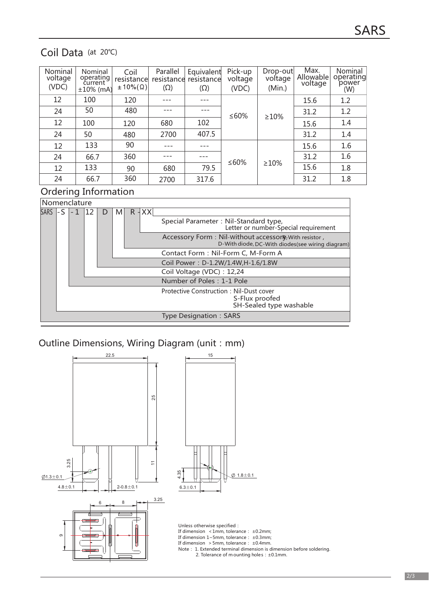## Coil Data (at 20℃)

| Nominal<br>voltage<br>(VDC) | Nominal<br>operating<br>current<br>$±10%$ (mA) | Coil<br>resistance<br>$\pm 10\%$ $(\Omega)$ | Parallel<br>resistance<br>$(\Omega)$ | Equivalent<br>resistance<br>$(\Omega)$ | Pick-up<br>voltage<br>(VDC) | Drop-out<br>voltage<br>(Min.) | Max.<br>Allowable<br>voltage | Nominal<br>operating<br>power<br>(W) |
|-----------------------------|------------------------------------------------|---------------------------------------------|--------------------------------------|----------------------------------------|-----------------------------|-------------------------------|------------------------------|--------------------------------------|
| 12                          | 100                                            | 120                                         |                                      |                                        |                             |                               | 15.6                         | 1.2                                  |
| 24                          | 50                                             | 480                                         |                                      |                                        | ≤60%                        | $\geq 10\%$                   | 31.2                         | 1.2                                  |
| 12                          | 100                                            | 120                                         | 680                                  | 102                                    |                             |                               | 15.6                         | 1.4                                  |
| 24                          | 50                                             | 480                                         | 2700                                 | 407.5                                  |                             |                               | 31.2                         | 1.4                                  |
| 12                          | 133                                            | 90                                          |                                      |                                        |                             |                               | 15.6                         | 1.6                                  |
| 24                          | 66.7                                           | 360                                         |                                      |                                        | ≤60%                        |                               | 31.2                         | 1.6                                  |
| 12                          | 133                                            | 90                                          | 680                                  | 79.5                                   |                             | $\geq 10\%$                   | 15.6                         | 1.8                                  |
| 24                          | 66.7                                           | 360                                         | 2700                                 | 317.6                                  |                             |                               | 31.2                         | 1.8                                  |

#### Ordering Information

| Nomenclature |                         |  |  |        |   |  |            |                                                                                                           |
|--------------|-------------------------|--|--|--------|---|--|------------|-----------------------------------------------------------------------------------------------------------|
| <b>SARS</b>  |                         |  |  | $\Box$ | M |  | $R$ $ XX $ |                                                                                                           |
|              |                         |  |  |        |   |  |            | Special Parameter: Nil-Standard type,<br>Letter or number-Special requirement                             |
|              |                         |  |  |        |   |  |            | Accessory Form: Nil-Without accessory, With resistor,<br>D-With diode, DC-With diodes(see wiring diagram) |
|              |                         |  |  |        |   |  |            | Contact Form: Nil-Form C, M-Form A                                                                        |
|              |                         |  |  |        |   |  |            | Coil Power: D-1.2W/1.4W, H-1.6/1.8W                                                                       |
|              |                         |  |  |        |   |  |            | Coil Voltage (VDC): 12,24                                                                                 |
|              |                         |  |  |        |   |  |            | Number of Poles: 1-1 Pole                                                                                 |
|              |                         |  |  |        |   |  |            | Protective Construction: Nil-Dust cover<br>S-Flux proofed<br>SH-Sealed type washable                      |
|              | Type Designation : SARS |  |  |        |   |  |            |                                                                                                           |

#### Outline Dimensions, Wiring Diagram (unit: mm)